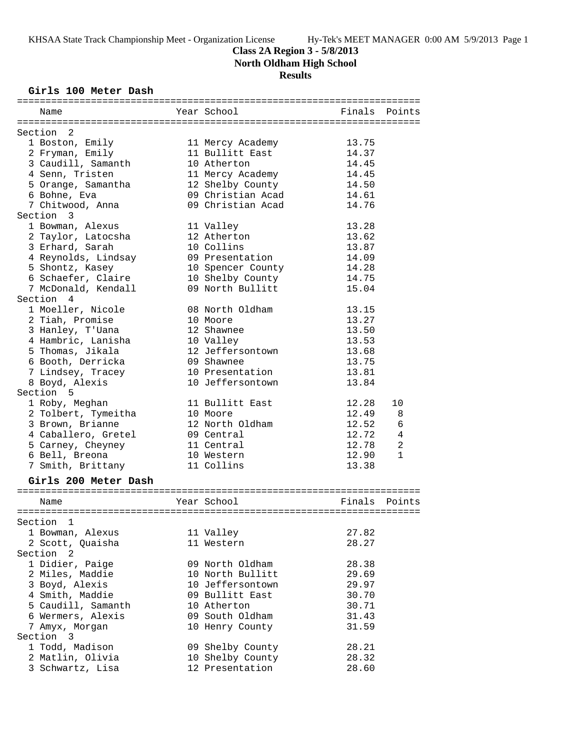### **Class 2A Region 3 - 5/8/2013**

**North Oldham High School**

# **Results**

### **Girls 100 Meter Dash**

| Name                 | Year School       | Finals | Points       |
|----------------------|-------------------|--------|--------------|
|                      |                   |        |              |
| Section 2            |                   |        |              |
| 1 Boston, Emily      | 11 Mercy Academy  | 13.75  |              |
| 2 Fryman, Emily      | 11 Bullitt East   | 14.37  |              |
| 3 Caudill, Samanth   | 10 Atherton       | 14.45  |              |
| 4 Senn, Tristen      | 11 Mercy Academy  | 14.45  |              |
| 5 Orange, Samantha   | 12 Shelby County  | 14.50  |              |
| 6 Bohne, Eva         | 09 Christian Acad | 14.61  |              |
| 7 Chitwood, Anna     | 09 Christian Acad | 14.76  |              |
| Section 3            |                   |        |              |
| 1 Bowman, Alexus     | 11 Valley         | 13.28  |              |
| 2 Taylor, Latocsha   | 12 Atherton       | 13.62  |              |
| 3 Erhard, Sarah      | 10 Collins        | 13.87  |              |
| 4 Reynolds, Lindsay  | 09 Presentation   | 14.09  |              |
| 5 Shontz, Kasey      | 10 Spencer County | 14.28  |              |
| 6 Schaefer, Claire   | 10 Shelby County  | 14.75  |              |
| 7 McDonald, Kendall  | 09 North Bullitt  | 15.04  |              |
| Section 4            |                   |        |              |
| 1 Moeller, Nicole    | 08 North Oldham   | 13.15  |              |
| 2 Tiah, Promise      | 10 Moore          | 13.27  |              |
| 3 Hanley, T'Uana     | 12 Shawnee        | 13.50  |              |
| 4 Hambric, Lanisha   | 10 Valley         | 13.53  |              |
| 5 Thomas, Jikala     | 12 Jeffersontown  | 13.68  |              |
| 6 Booth, Derricka    | 09 Shawnee        | 13.75  |              |
|                      | 10 Presentation   | 13.81  |              |
| 7 Lindsey, Tracey    |                   |        |              |
| 8 Boyd, Alexis       | 10 Jeffersontown  | 13.84  |              |
| Section 5            |                   |        |              |
| 1 Roby, Meghan       | 11 Bullitt East   | 12.28  | 10           |
| 2 Tolbert, Tymeitha  | 10 Moore          | 12.49  | 8            |
| 3 Brown, Brianne     | 12 North Oldham   | 12.52  | 6            |
| 4 Caballero, Gretel  | 09 Central        | 12.72  | 4            |
| 5 Carney, Cheyney    | 11 Central        | 12.78  | 2            |
| 6 Bell, Breona       | 10 Western        | 12.90  | $\mathbf{1}$ |
| 7 Smith, Brittany    | 11 Collins        | 13.38  |              |
| Girls 200 Meter Dash |                   |        |              |
|                      |                   |        |              |
| Name                 | Year School       | Finals | Points       |
|                      |                   |        |              |
| Section 1            |                   |        |              |
| 1 Bowman, Alexus     | 11 Valley         | 27.82  |              |
| 2 Scott, Quaisha     | 11 Western        | 28.27  |              |
| Section 2            |                   |        |              |
| 1 Didier, Paige      | 09 North Oldham   | 28.38  |              |
| 2 Miles, Maddie      | 10 North Bullitt  | 29.69  |              |
| 3 Boyd, Alexis       | 10 Jeffersontown  | 29.97  |              |
| 4 Smith, Maddie      | 09 Bullitt East   | 30.70  |              |
| 5 Caudill, Samanth   | 10 Atherton       | 30.71  |              |
| 6 Wermers, Alexis    | 09 South Oldham   | 31.43  |              |
| 7 Amyx, Morgan       | 10 Henry County   | 31.59  |              |
| Section 3            |                   |        |              |
| 1 Todd, Madison      | 09 Shelby County  | 28.21  |              |
| 2 Matlin, Olivia     | 10 Shelby County  | 28.32  |              |
| 3 Schwartz, Lisa     | 12 Presentation   | 28.60  |              |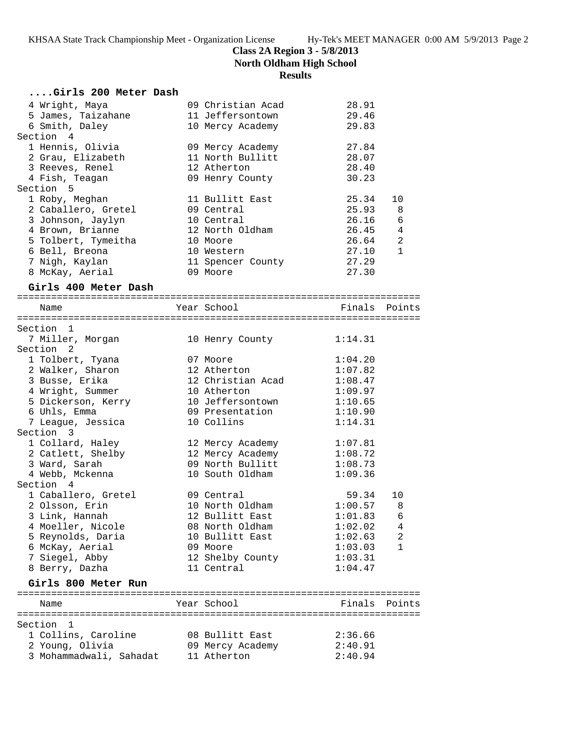**North Oldham High School**

# **Results**

| Girls 200 Meter Dash              |                                  |                    |              |
|-----------------------------------|----------------------------------|--------------------|--------------|
| 4 Wright, Maya                    | 09 Christian Acad                | 28.91              |              |
| 5 James, Taizahane                | 11 Jeffersontown                 | 29.46              |              |
| 6 Smith, Daley                    | 10 Mercy Academy                 | 29.83              |              |
| Section 4                         |                                  |                    |              |
| 1 Hennis, Olivia                  | 09 Mercy Academy                 | 27.84              |              |
| 2 Grau, Elizabeth                 | 11 North Bullitt                 | 28.07              |              |
| 3 Reeves, Renel                   | 12 Atherton                      | 28.40              |              |
| 4 Fish, Teagan                    | 09 Henry County                  | 30.23              |              |
| Section 5                         |                                  |                    |              |
| 1 Roby, Meghan                    | 11 Bullitt East                  | 25.34              | 10           |
| 2 Caballero, Gretel               | 09 Central                       | 25.93              | 8            |
| 3 Johnson, Jaylyn                 | 10 Central                       | 26.16              | 6            |
| 4 Brown, Brianne                  | 12 North Oldham                  | 26.45              | 4            |
| 5 Tolbert, Tymeitha               | 10 Moore                         | 26.64              | 2            |
| 6 Bell, Breona                    | 10 Western                       | 27.10              | $\mathbf{1}$ |
| 7 Nigh, Kaylan                    | 11 Spencer County                | 27.29              |              |
| 8 McKay, Aerial                   | 09 Moore                         | 27.30              |              |
| Girls 400 Meter Dash              |                                  |                    |              |
| Name                              | Year School                      | Finals Points      |              |
|                                   |                                  |                    |              |
| Section 1                         |                                  |                    |              |
| 7 Miller, Morgan                  | 10 Henry County                  | 1:14.31            |              |
| Section <sub>2</sub>              |                                  |                    |              |
| 1 Tolbert, Tyana                  | 07 Moore                         | 1:04.20            |              |
| 2 Walker, Sharon                  | 12 Atherton<br>12 Christian Acad | 1:07.82            |              |
| 3 Busse, Erika                    |                                  | 1:08.47            |              |
| 4 Wright, Summer                  | 10 Atherton<br>10 Jeffersontown  | 1:09.97            |              |
| 5 Dickerson, Kerry                | 09 Presentation                  | 1:10.65<br>1:10.90 |              |
| 6 Uhls, Emma<br>7 League, Jessica | 10 Collins                       | 1:14.31            |              |
| Section 3                         |                                  |                    |              |
| 1 Collard, Haley                  | 12 Mercy Academy                 | 1:07.81            |              |
| 2 Catlett, Shelby                 | 12 Mercy Academy                 | 1:08.72            |              |
| 3 Ward, Sarah                     | 09 North Bullitt                 | 1:08.73            |              |
| 4 Webb, Mckenna                   | 10 South Oldham                  | 1:09.36            |              |
| Section 4                         |                                  |                    |              |
| 1 Caballero, Gretel               | 09 Central                       | 59.34              | 10           |
| 2 Olsson, Erin                    | 10 North Oldham                  | 1:00.57            | 8            |
| 3 Link, Hannah                    | 12 Bullitt East                  | 1:01.83            | 6            |
| 4 Moeller, Nicole                 | 08 North Oldham                  | 1:02.02            | 4            |
| 5 Reynolds, Daria                 | 10 Bullitt East                  | 1:02.63            | 2            |
| 6 McKay, Aerial                   | 09 Moore                         | 1:03.03            | $\mathbf{1}$ |
| 7 Siegel, Abby                    | 12 Shelby County                 | 1:03.31            |              |
| 8 Berry, Dazha                    | 11 Central                       | 1:04.47            |              |
| Girls 800 Meter Run               |                                  |                    |              |
| Name                              | Year School                      | Finals             | Points       |
|                                   |                                  |                    |              |
| Section 1                         |                                  |                    |              |
| 1 Collins, Caroline               | 08 Bullitt East                  | 2:36.66            |              |

 2 Young, Olivia 09 Mercy Academy 2:40.91 3 Mohammadwali, Sahadat 11 Atherton 2:40.94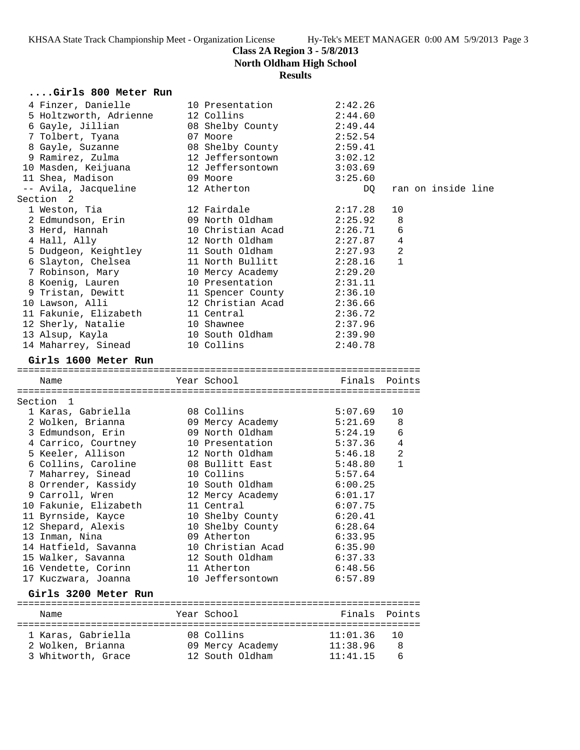**North Oldham High School**

# **Results**

| Girls 800 Meter Run                      |                                |                      |                |                    |  |
|------------------------------------------|--------------------------------|----------------------|----------------|--------------------|--|
| 4 Finzer, Danielle                       | 10 Presentation                | 2:42.26              |                |                    |  |
| 5 Holtzworth, Adrienne                   | 12 Collins                     | 2:44.60              |                |                    |  |
| 6 Gayle, Jillian                         | 08 Shelby County               | 2:49.44              |                |                    |  |
| 7 Tolbert, Tyana                         | 07 Moore                       | 2:52.54              |                |                    |  |
| 8 Gayle, Suzanne                         | 08 Shelby County               | 2:59.41              |                |                    |  |
| 9 Ramirez, Zulma                         | 12 Jeffersontown               | 3:02.12              |                |                    |  |
| 10 Masden, Keijuana                      | 12 Jeffersontown               | 3:03.69              |                |                    |  |
| 11 Shea, Madison                         | 09 Moore                       | 3:25.60              |                |                    |  |
| -- Avila, Jacqueline                     | 12 Atherton                    | DQ.                  |                | ran on inside line |  |
| Section 2                                |                                |                      |                |                    |  |
| 1 Weston, Tia                            | 12 Fairdale                    | 2:17.28              | 10             |                    |  |
| 2 Edmundson, Erin                        | 09 North Oldham                | 2:25.92              | 8              |                    |  |
| 3 Herd, Hannah                           | 10 Christian Acad              | 2:26.71              | 6              |                    |  |
| 4 Hall, Ally                             | 12 North Oldham                | 2:27.87              | 4              |                    |  |
| 5 Dudgeon, Keightley                     | 11 South Oldham                | 2:27.93              | $\overline{2}$ |                    |  |
| 6 Slayton, Chelsea                       | 11 North Bullitt               | 2:28.16              | 1              |                    |  |
| 7 Robinson, Mary                         | 10 Mercy Academy               | 2:29.20              |                |                    |  |
| 8 Koenig, Lauren                         | 10 Presentation                | 2:31.11              |                |                    |  |
| 9 Tristan, Dewitt                        | 11 Spencer County              | 2:36.10              |                |                    |  |
| 10 Lawson, Alli                          | 12 Christian Acad              | 2:36.66              |                |                    |  |
| 11 Fakunie, Elizabeth                    | 11 Central                     | 2:36.72              |                |                    |  |
| 12 Sherly, Natalie                       | 10 Shawnee                     | 2:37.96              |                |                    |  |
| 13 Alsup, Kayla                          | 10 South Oldham                | 2:39.90              |                |                    |  |
| 14 Maharrey, Sinead                      | 10 Collins                     | 2:40.78              |                |                    |  |
| Girls 1600 Meter Run                     |                                |                      |                |                    |  |
|                                          |                                |                      |                |                    |  |
| Name                                     | Year School                    | Finals Points        |                |                    |  |
|                                          |                                |                      |                |                    |  |
| Section 1                                |                                |                      |                |                    |  |
| 1 Karas, Gabriella                       | 08 Collins                     | 5:07.69              | 10             |                    |  |
| 2 Wolken, Brianna                        | 09 Mercy Academy               | 5:21.69              | 8              |                    |  |
| 3 Edmundson, Erin                        | 09 North Oldham                | 5:24.19              | 6              |                    |  |
| 4 Carrico, Courtney                      | 10 Presentation                | 5:37.36              | 4              |                    |  |
| 5 Keeler, Allison                        | 12 North Oldham                | 5:46.18              | 2<br>1         |                    |  |
| 6 Collins, Caroline                      | 08 Bullitt East<br>10 Collins  | 5:48.80              |                |                    |  |
| 7 Maharrey, Sinead                       |                                | 5:57.64<br>6:00.25   |                |                    |  |
| 8 Orrender, Kassidy<br>9 Carroll, Wren   | 10 South Oldham                | 6:01.17              |                |                    |  |
| 10 Fakunie, Elizabeth                    | 12 Mercy Academy<br>11 Central | 6:07.75              |                |                    |  |
|                                          | 10 Shelby County               | 6:20.41              |                |                    |  |
| 11 Byrnside, Kayce<br>12 Shepard, Alexis | 10 Shelby County               | 6:28.64              |                |                    |  |
| 13 Inman, Nina                           | 09 Atherton                    | 6:33.95              |                |                    |  |
| 14 Hatfield, Savanna                     | 10 Christian Acad              | 6:35.90              |                |                    |  |
| 15 Walker, Savanna                       | 12 South Oldham                | 6:37.33              |                |                    |  |
| 16 Vendette, Corinn                      | 11 Atherton                    | 6:48.56              |                |                    |  |
| 17 Kuczwara, Joanna                      | 10 Jeffersontown               | 6:57.89              |                |                    |  |
| Girls 3200 Meter Run                     |                                |                      |                |                    |  |
|                                          |                                |                      |                |                    |  |
| Name                                     | Year School                    | Finals               | Points         |                    |  |
|                                          |                                |                      |                |                    |  |
| 1 Karas, Gabriella<br>2 Wolken, Brianna  | 08 Collins<br>09 Mercy Academy | 11:01.36<br>11:38.96 | 10<br>8        |                    |  |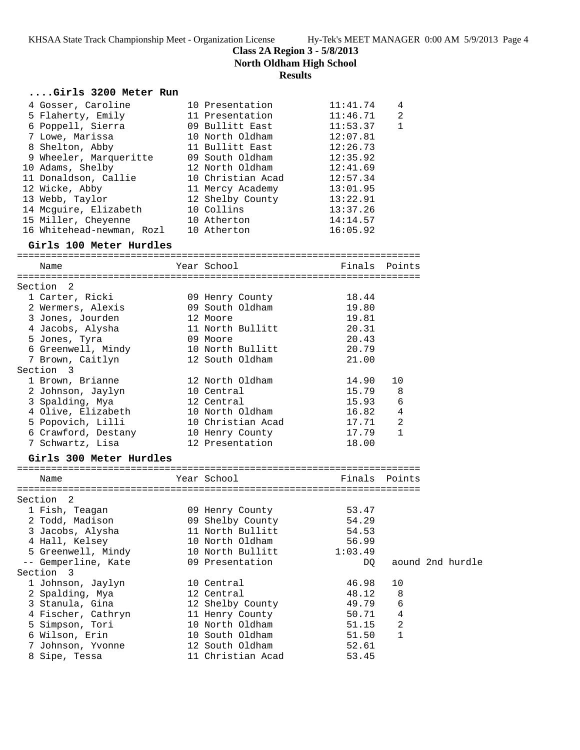**Class 2A Region 3 - 5/8/2013**

**North Oldham High School**

# **Results**

| Girls 3200 Meter Run                  |                   |               |                |                  |
|---------------------------------------|-------------------|---------------|----------------|------------------|
| 4 Gosser, Caroline                    | 10 Presentation   | 11:41.74      | 4              |                  |
| 5 Flaherty, Emily                     | 11 Presentation   | 11:46.71      | $\overline{2}$ |                  |
| 6 Poppell, Sierra                     | 09 Bullitt East   | 11:53.37      | $\mathbf{1}$   |                  |
| 7 Lowe, Marissa                       | 10 North Oldham   | 12:07.81      |                |                  |
| 8 Shelton, Abby                       | 11 Bullitt East   | 12:26.73      |                |                  |
| 9 Wheeler, Marqueritte                | 09 South Oldham   | 12:35.92      |                |                  |
| 10 Adams, Shelby                      | 12 North Oldham   | 12:41.69      |                |                  |
| 11 Donaldson, Callie                  | 10 Christian Acad | 12:57.34      |                |                  |
| 12 Wicke, Abby                        | 11 Mercy Academy  | 13:01.95      |                |                  |
| 13 Webb, Taylor                       | 12 Shelby County  | 13:22.91      |                |                  |
| 14 Mcguire, Elizabeth                 | 10 Collins        | 13:37.26      |                |                  |
| 15 Miller, Cheyenne                   | 10 Atherton       | 14:14.57      |                |                  |
| 16 Whitehead-newman, Rozl 10 Atherton |                   | 16:05.92      |                |                  |
| Girls 100 Meter Hurdles               |                   |               |                |                  |
| Name                                  | Year School       | Finals Points |                |                  |
|                                       |                   |               |                |                  |
| Section 2                             |                   |               |                |                  |
| 1 Carter, Ricki                       | 09 Henry County   | 18.44         |                |                  |
| 2 Wermers, Alexis                     | 09 South Oldham   | 19.80         |                |                  |
| 3 Jones, Jourden                      | 12 Moore          | 19.81         |                |                  |
| 4 Jacobs, Alysha                      | 11 North Bullitt  | 20.31         |                |                  |
| 5 Jones, Tyra                         | 09 Moore          | 20.43         |                |                  |
| 6 Greenwell, Mindy                    | 10 North Bullitt  | 20.79         |                |                  |
| 7 Brown, Caitlyn                      | 12 South Oldham   | 21.00         |                |                  |
| Section 3                             |                   |               |                |                  |
| 1 Brown, Brianne                      | 12 North Oldham   | 14.90         | 10             |                  |
| 2 Johnson, Jaylyn                     | 10 Central        | 15.79         | 8              |                  |
| 3 Spalding, Mya                       | 12 Central        | 15.93         | 6              |                  |
| 4 Olive, Elizabeth                    | 10 North Oldham   | 16.82         | 4              |                  |
| 5 Popovich, Lilli                     | 10 Christian Acad | 17.71         | 2              |                  |
| 6 Crawford, Destany                   | 10 Henry County   | 17.79         | $\mathbf{1}$   |                  |
| 7 Schwartz, Lisa                      | 12 Presentation   | 18.00         |                |                  |
| Girls 300 Meter Hurdles               |                   |               |                |                  |
|                                       |                   |               |                |                  |
| Name                                  | Year School       | Finals Points |                |                  |
|                                       |                   |               |                |                  |
| Section <sub>2</sub>                  |                   |               |                |                  |
| 1 Fish, Teagan                        | 09 Henry County   | 53.47         |                |                  |
| 2 Todd, Madison                       | 09 Shelby County  | 54.29         |                |                  |
| 3 Jacobs, Alysha                      | 11 North Bullitt  | 54.53         |                |                  |
| 4 Hall, Kelsey                        | 10 North Oldham   | 56.99         |                |                  |
| 5 Greenwell, Mindy                    | 10 North Bullitt  | 1:03.49       |                |                  |
| -- Gemperline, Kate<br>Section 3      | 09 Presentation   | DQ            |                | aound 2nd hurdle |
|                                       |                   | 46.98         |                |                  |
| 1 Johnson, Jaylyn                     | 10 Central        |               | 10             |                  |
| 2 Spalding, Mya                       | 12 Central        | 48.12         | 8              |                  |
| 3 Stanula, Gina                       | 12 Shelby County  | 49.79         | 6              |                  |
| 4 Fischer, Cathryn                    | 11 Henry County   | 50.71         | 4              |                  |
| 5 Simpson, Tori                       | 10 North Oldham   | 51.15         | 2              |                  |
| 6 Wilson, Erin                        | 10 South Oldham   | 51.50         | 1              |                  |
| 7 Johnson, Yvonne                     | 12 South Oldham   | 52.61         |                |                  |
| 8 Sipe, Tessa                         | 11 Christian Acad | 53.45         |                |                  |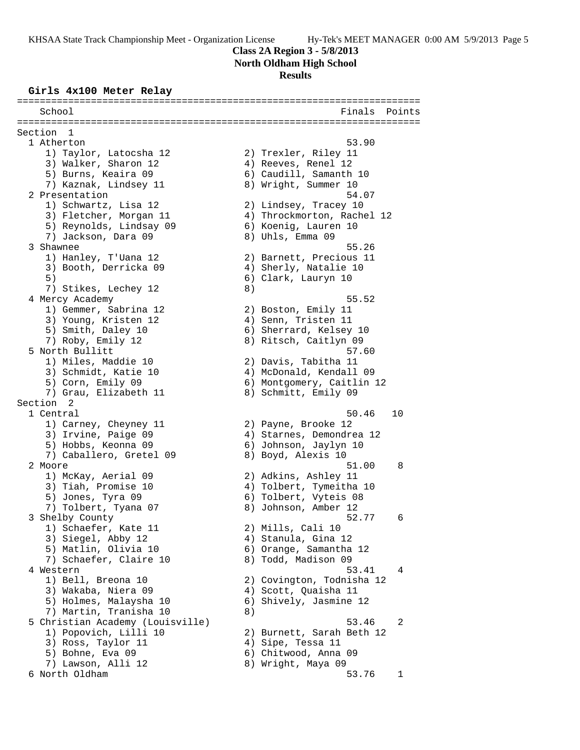### **Class 2A Region 3 - 5/8/2013**

**North Oldham High School**

### **Results**

#### **Girls 4x100 Meter Relay**

======================================================================= School **Finals Points** ======================================================================= Section 1 1 Atherton 53.90 1) Taylor, Latocsha 12 2) Trexler, Riley 11 3) Walker, Sharon 12 (4) Reeves, Renel 12 5) Burns, Keaira 09 6) Caudill, Samanth 10 7) Kaznak, Lindsey 11 and 8) Wright, Summer 10 2 Presentation 54.07 1) Schwartz, Lisa 12 2) Lindsey, Tracey 10 3) Fletcher, Morgan 11 4) Throckmorton, Rachel 12 5) Reynolds, Lindsay 09 6) Koenig, Lauren 10 7) Jackson, Dara 09 8) Uhls, Emma 09 3 Shawnee 55.26 1) Hanley, T'Uana 12 2) Barnett, Precious 11 3) Booth, Derricka 09 4) Sherly, Natalie 10 5) 6) Clark, Lauryn 10 7) Stikes, Lechey 12 8) 4 Mercy Academy 55.52 1) Gemmer, Sabrina 12 (2) Boston, Emily 11 3) Young, Kristen 12 4) Senn, Tristen 11 5) Smith, Daley 10 6) Sherrard, Kelsey 10 7) Roby, Emily 12 8) Ritsch, Caitlyn 09 5 North Bullitt 57.60 1) Miles, Maddie 10 2) Davis, Tabitha 11 3) Schmidt, Katie 10 4) McDonald, Kendall 09 5) Corn, Emily 09 6) Montgomery, Caitlin 12 7) Grau, Elizabeth 11  $\qquad \qquad 8)$  Schmitt, Emily 09 Section 2<br>1 Central 1 Central 50.46 10 1) Carney, Cheyney 11 2) Payne, Brooke 12 3) Irvine, Paige 09 4) Starnes, Demondrea 12 5) Hobbs, Keonna 09 6) Johnson, Jaylyn 10 7) Caballero, Gretel 09 8) Boyd, Alexis 10 2 Moore 51.00 8 1) McKay, Aerial 09 2) Adkins, Ashley 11 3) Tiah, Promise 10 4) Tolbert, Tymeitha 10 5) Jones, Tyra 09 (6) Tolbert, Vyteis 08 7) Tolbert, Tyana 07 (8) Johnson, Amber 12 3 Shelby County 52.77 6 1) Schaefer, Kate 11 (2) Mills, Cali 10 3) Siegel, Abby 12 4) Stanula, Gina 12 5) Matlin, Olivia 10 6) Orange, Samantha 12 7) Schaefer, Claire 10 and 8) Todd, Madison 09 4 Western 53.41 4 1) Bell, Breona 10 2) Covington, Todnisha 12 3) Wakaba, Niera 09 4) Scott, Quaisha 11 5) Holmes, Malaysha 10 6) Shively, Jasmine 12 7) Martin, Tranisha 10 and 8) 5 Christian Academy (Louisville) 53.46 2 1) Popovich, Lilli 10 2) Burnett, Sarah Beth 12 3) Ross, Taylor 11 (4) Sipe, Tessa 11 5) Bohne, Eva 09 6) Chitwood, Anna 09 7) Lawson, Alli 12 8) Wright, Maya 09 6 North Oldham 53.76 1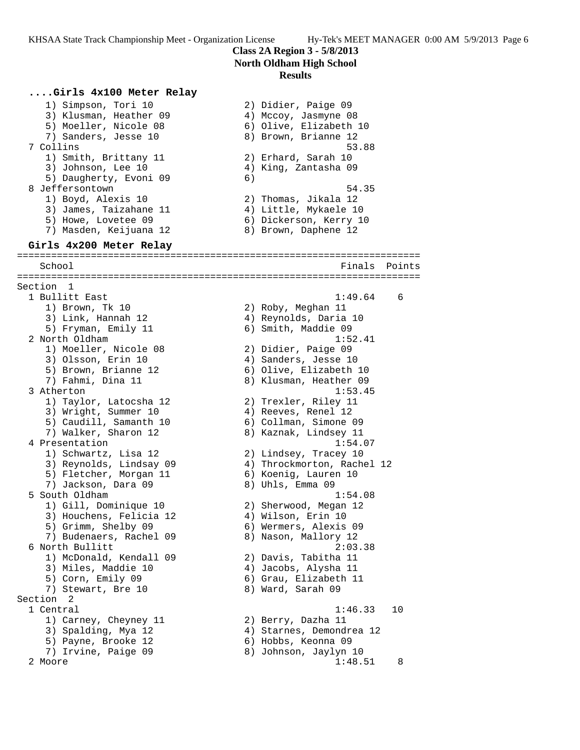# **Class 2A Region 3 - 5/8/2013 North Oldham High School**

# **Results**

**....Girls 4x100 Meter Relay** 1) Simpson, Tori 10 2) Didier, Paige 09 3) Klusman, Heather 09 (4) Mccoy, Jasmyne 08 5) Moeller, Nicole 08 6) Olive, Elizabeth 10 7) Sanders, Jesse 10  $\hphantom{\text{2.65}$  8) Brown, Brianne 12 7 Collins 53.88 1) Smith, Brittany 11 (2) Erhard, Sarah 10 3) Johnson, Lee 10  $\hskip1cm$  4) King, Zantasha 09 5) Daugherty, Evoni 09 (6) 8 Jeffersontown 54.35 1) Boyd, Alexis 10 2) Thomas, Jikala 12 3) James, Taizahane 11 4) Little, Mykaele 10 5) Howe, Lovetee 09 6) Dickerson, Kerry 10 7) Masden, Keijuana 12 8) Brown, Daphene 12 **Girls 4x200 Meter Relay** ======================================================================= School **Finals** Points ======================================================================= Section 1 1 Bullitt East 1:49.64 6 1) Brown, Tk 10 2) Roby, Meghan 11 3) Link, Hannah 12 4) Reynolds, Daria 10 5) Fryman, Emily 11 6) Smith, Maddie 09 2 North Oldham 1:52.41 1) Moeller, Nicole 08 2) Didier, Paige 09 3) Olsson, Erin 10 (4) Sanders, Jesse 10 5) Brown, Brianne 12 6) Olive, Elizabeth 10 7) Fahmi, Dina 11 8) Klusman, Heather 09 3 Atherton 1:53.45 1) Taylor, Latocsha 12 2) Trexler, Riley 11 3) Wright, Summer 10 (4) Reeves, Renel 12 5) Caudill, Samanth 10 6) Collman, Simone 09 7) Walker, Sharon 12 8) Kaznak, Lindsey 11 4 Presentation 1:54.07 1) Schwartz, Lisa 12 2) Lindsey, Tracey 10 3) Reynolds, Lindsay 09 4) Throckmorton, Rachel 12 5) Fletcher, Morgan 11 (6) Koenig, Lauren 10 7) Jackson, Dara 09 8) Uhls, Emma 09 5 South Oldham 1:54.08 1) Gill, Dominique 10 2) Sherwood, Megan 12 3) Houchens, Felicia 12 4) Wilson, Erin 10 5) Grimm, Shelby 09 6) Wermers, Alexis 09 7) Budenaers, Rachel 09 8) Nason, Mallory 12 6 North Bullitt 2:03.38 1) McDonald, Kendall 09 2) Davis, Tabitha 11 3) Miles, Maddie 10 (4) Jacobs, Alysha 11 5) Corn, Emily 09 6) Grau, Elizabeth 11 7) Stewart, Bre 10 8) Ward, Sarah 09 Section 2 1 Central 1:46.33 10 1) Carney, Cheyney 11 2) Berry, Dazha 11 3) Spalding, Mya 12 4) Starnes, Demondrea 12 5) Payne, Brooke 12 6) Hobbs, Keonna 09 7) Irvine, Paige 09 8) Johnson, Jaylyn 10 2 Moore 1:48.51 8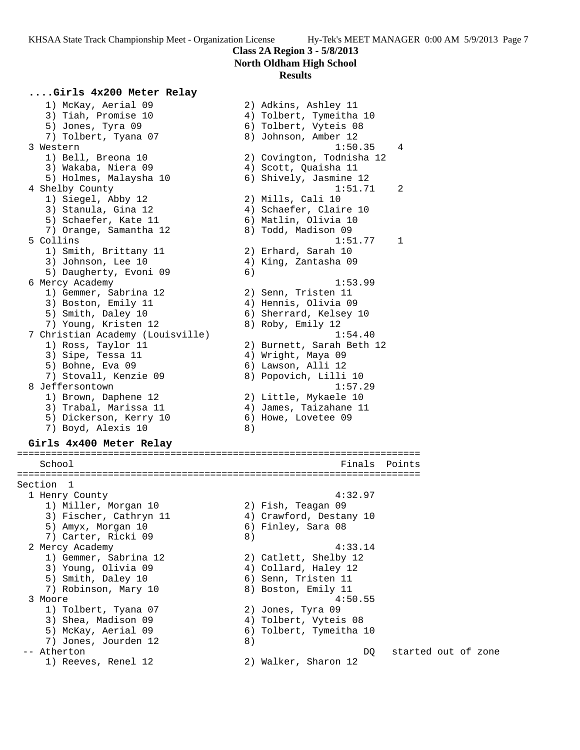# **Class 2A Region 3 - 5/8/2013 North Oldham High School**

### **Results**

# **....Girls 4x200 Meter Relay**

 1) McKay, Aerial 09 2) Adkins, Ashley 11 3) Tiah, Promise 10 4) Tolbert, Tymeitha 10 5) Jones, Tyra 09 (6) Tolbert, Vyteis 08 7) Tolbert, Tyana 07 8) Johnson, Amber 12 3 Western 1:50.35 4 1) Bell, Breona 10 2) Covington, Todnisha 12 3) Wakaba, Niera 09 4) Scott, Quaisha 11 5) Holmes, Malaysha 10 6) Shively, Jasmine 12 4 Shelby County 1:51.71 2 1) Siegel, Abby 12 2) Mills, Cali 10 3) Stanula, Gina 12 4) Schaefer, Claire 10 5) Schaefer, Kate 11 (6) Matlin, Olivia 10 7) Orange, Samantha 12 ann an 8) Todd, Madison 09 5 Collins 1:51.77 1 1) Smith, Brittany 11 (2) Erhard, Sarah 10 3) Johnson, Lee 10  $\hskip1cm$  4) King, Zantasha 09 5) Daugherty, Evoni 09 (6) 6 Mercy Academy 1:53.99 1) Gemmer, Sabrina 12 and 20 Senn, Tristen 11 3) Boston, Emily 11 (4) Hennis, Olivia 09 5) Smith, Daley 10 6) Sherrard, Kelsey 10 7) Young, Kristen 12 and 8) Roby, Emily 12 7 Christian Academy (Louisville) 1:54.40 1) Ross, Taylor 11 2) Burnett, Sarah Beth 12 3) Sipe, Tessa 11  $\qquad \qquad \qquad$  4) Wright, Maya 09 5) Bohne, Eva 09 6) Lawson, Alli 12 7) Stovall, Kenzie 09 8) Popovich, Lilli 10 8 Jeffersontown 1:57.29 1) Brown, Daphene 12 2) Little, Mykaele 10 3) Trabal, Marissa 11 4) James, Taizahane 11 5) Dickerson, Kerry 10 6) Howe, Lovetee 09 7) Boyd, Alexis 10 8)

#### **Girls 4x400 Meter Relay** =======================================================================

School **Finals** Points **Points** ======================================================================= Section 1 1 Henry County 4:32.97 1) Miller, Morgan 10 2) Fish, Teagan 09 3) Fischer, Cathryn 11 4) Crawford, Destany 10 5) Amyx, Morgan 10 6) Finley, Sara 08 7) Carter, Ricki 09 (8) 2 Mercy Academy 4:33.14 1) Gemmer, Sabrina 12 2) Catlett, Shelby 12 3) Young, Olivia 09 4) Collard, Haley 12 5) Smith, Daley 10 6) Senn, Tristen 11 7) Robinson, Mary 10  $\hphantom{\text{2.65}$  8) Boston, Emily 11 3 Moore 4:50.55 1) Tolbert, Tyana 07 2) Jones, Tyra 09 3) Shea, Madison 09 4) Tolbert, Vyteis 08 5) McKay, Aerial 09 6) Tolbert, Tymeitha 10 7) Jones, Jourden 12 (8) -- Atherton DQ started out of zone 1) Reeves, Renel 12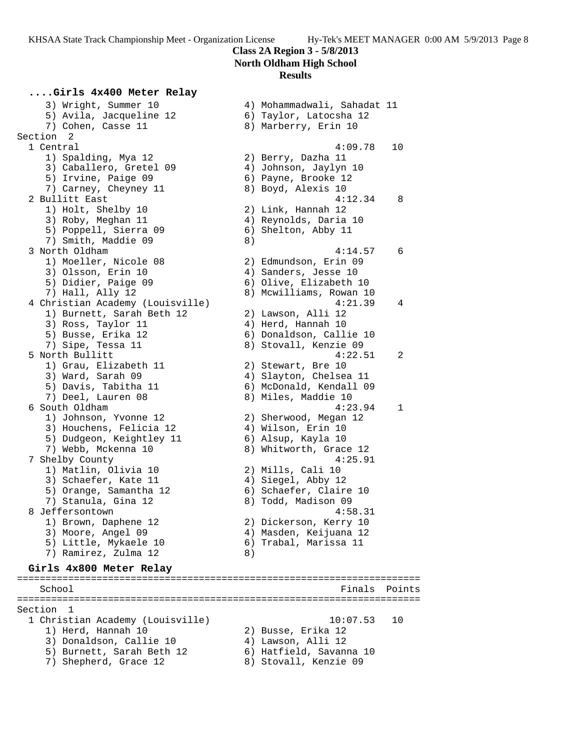# **North Oldham High School**

### **Results**

**....Girls 4x400 Meter Relay** 3) Wright, Summer 10 4) Mohammadwali, Sahadat 11 5) Avila, Jacqueline 12 6) Taylor, Latocsha 12 7) Cohen, Casse 11 8) Marberry, Erin 10 Section 2 1 Central 4:09.78 10 1) Spalding, Mya 12 2) Berry, Dazha 11 3) Caballero, Gretel 09 4) Johnson, Jaylyn 10 5) Irvine, Paige 09 (6) Payne, Brooke 12 7) Carney, Cheyney 11 and 8) Boyd, Alexis 10 2 Bullitt East 4:12.34 8 1) Holt, Shelby 10 2) Link, Hannah 12 3) Roby, Meghan 11 4) Reynolds, Daria 10 5) Poppell, Sierra 09 6) Shelton, Abby 11 7) Smith, Maddie 09 8) 3 North Oldham 4:14.57 6 1) Moeller, Nicole 08 2) Edmundson, Erin 09 3) Olsson, Erin 10 (4) Sanders, Jesse 10 5) Didier, Paige 09 6) Olive, Elizabeth 10 7) Hall, Ally 12 8) Mcwilliams, Rowan 10 4 Christian Academy (Louisville) 4:21.39 4 1) Burnett, Sarah Beth 12 2) Lawson, Alli 12 3) Ross, Taylor 11 (4) Herd, Hannah 10 5) Busse, Erika 12 6) Donaldson, Callie 10 7) Sipe, Tessa 11 8) Stovall, Kenzie 09 5 North Bullitt 4:22.51 2 1) Grau, Elizabeth 11 (2) Stewart, Bre 10 3) Ward, Sarah 09 4) Slayton, Chelsea 11 5) Davis, Tabitha 11 6) McDonald, Kendall 09 7) Deel, Lauren 08 8) Miles, Maddie 10 6 South Oldham 4:23.94 1 1) Johnson, Yvonne 12 2) Sherwood, Megan 12 3) Houchens, Felicia 12 (4) Wilson, Erin 10 5) Dudgeon, Keightley 11  $\qquad \qquad$  6) Alsup, Kayla 10 7) Webb, Mckenna 10 8) Whitworth, Grace 12 7 Shelby County 4:25.91

3) Schaefer, Kate 11 (4) Siegel, Abby 12 5) Orange, Samantha 12 6) Schaefer, Claire 10 7) Stanula, Gina 12 8) Todd, Madison 09 8 Jeffersontown 4:58.31 1) Brown, Daphene 12 2) Dickerson, Kerry 10 3) Moore, Angel 09 4) Masden, Keijuana 12 5) Little, Mykaele 10 6) Trabal, Marissa 11 7) Ramirez, Zulma 12 (8) **Girls 4x800 Meter Relay** ======================================================================= School **Finals** Points ======================================================================= Section 1

1) Matlin, Olivia 10 2) Mills, Cali 10

 1 Christian Academy (Louisville) 10:07.53 10 1) Herd, Hannah 10 2) Busse, Erika 12 3) Donaldson, Callie 10 (4) Lawson, Alli 12 5) Burnett, Sarah Beth 12 6) Hatfield, Savanna 10

7) Shepherd, Grace 12 8) Stovall, Kenzie 09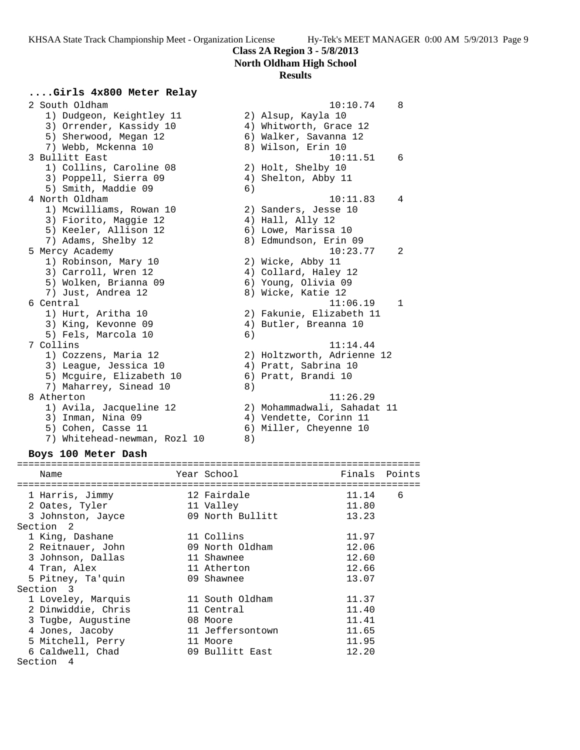### **North Oldham High School**

### **Results**

# **....Girls 4x800 Meter Relay**

 2 South Oldham 10:10.74 8 1) Dudgeon, Keightley 11 2) Alsup, Kayla 10 3) Orrender, Kassidy 10 4) Whitworth, Grace 12 5) Sherwood, Megan 12 6) Walker, Savanna 12 7) Webb, Mckenna 10 8) Wilson, Erin 10 3 Bullitt East 10:11.51 6 1) Collins, Caroline 08 2) Holt, Shelby 10 3) Poppell, Sierra 09 (4) Shelton, Abby 11 5) Smith, Maddie 09 6) 4 North Oldham 10:11.83 4 1) Mcwilliams, Rowan 10 2) Sanders, Jesse 10 3) Fiorito, Maggie 12 (4) Hall, Ally 12 5) Keeler, Allison 12 (6) Lowe, Marissa 10 7) Adams, Shelby 12 8) Edmundson, Erin 09 5 Mercy Academy 10:23.77 2 1) Robinson, Mary 10 2) Wicke, Abby 11 3) Carroll, Wren 12 4) Collard, Haley 12 5) Wolken, Brianna 09 6) Young, Olivia 09 7) Just, Andrea 12 and 8) Wicke, Katie 12 6 Central 11:06.19 1 1) Hurt, Aritha 10 2) Fakunie, Elizabeth 11 3) King, Kevonne 09 4) Butler, Breanna 10 5) Fels, Marcola 10 6) 7 Collins 11:14.44 1) Cozzens, Maria 12 2) Holtzworth, Adrienne 12 3) League, Jessica 10 (4) Pratt, Sabrina 10 5) Mcguire, Elizabeth 10 6) Pratt, Brandi 10 7) Maharrey, Sinead 10 8) 8 Atherton 11:26.29 1) Avila, Jacqueline 12 2) Mohammadwali, Sahadat 11 3) Inman, Nina 09 4) Vendette, Corinn 11 5) Cohen, Casse 11 6) Miller, Cheyenne 10 7) Whitehead-newman, Rozl 10 8)

### **Boys 100 Meter Dash**

| Name               | Year School      | Finals | Points |
|--------------------|------------------|--------|--------|
| 1 Harris, Jimmy    | 12 Fairdale      | 11.14  | 6      |
| 2 Oates, Tyler     | 11 Valley        | 11.80  |        |
| 3 Johnston, Jayce  | 09 North Bullitt | 13.23  |        |
| Section 2          |                  |        |        |
| 1 King, Dashane    | 11 Collins       | 11.97  |        |
| 2 Reitnauer, John  | 09 North Oldham  | 12.06  |        |
| 3 Johnson, Dallas  | 11 Shawnee       | 12.60  |        |
| 4 Tran, Alex       | 11 Atherton      | 12.66  |        |
| 5 Pitney, Ta'quin  | 09 Shawnee       | 13.07  |        |
| Section 3          |                  |        |        |
| 1 Loveley, Marquis | 11 South Oldham  | 11.37  |        |
| 2 Dinwiddie, Chris | 11 Central       | 11.40  |        |
| 3 Tugbe, Augustine | 08 Moore         | 11.41  |        |
| 4 Jones, Jacoby    | 11 Jeffersontown | 11.65  |        |
| 5 Mitchell, Perry  | 11 Moore         | 11.95  |        |
| 6 Caldwell, Chad   | 09 Bullitt East  | 12.20  |        |
| Section<br>4       |                  |        |        |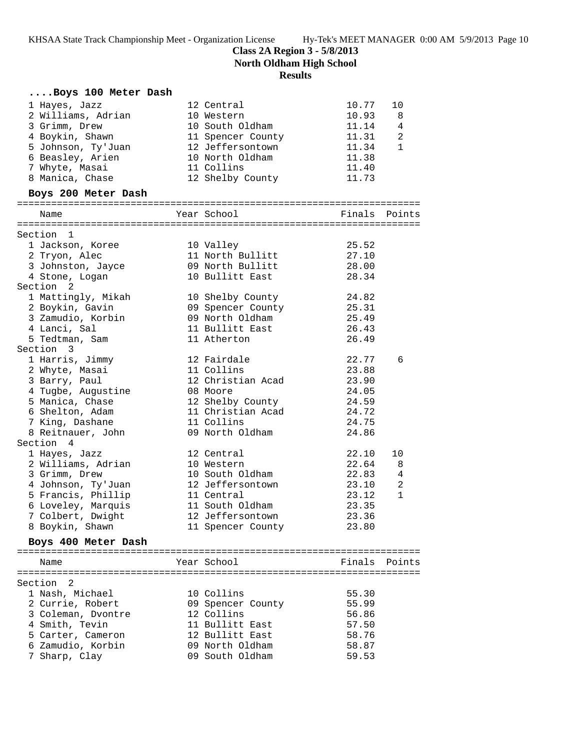**Class 2A Region 3 - 5/8/2013**

**North Oldham High School**

**Results**

|         | Boys 100 Meter Dash                |  |                                       |                |                |
|---------|------------------------------------|--|---------------------------------------|----------------|----------------|
|         | 1 Hayes, Jazz                      |  | 12 Central                            | 10.77          | 10             |
|         | 2 Williams, Adrian                 |  | 10 Western                            | 10.93          | 8              |
|         | 3 Grimm, Drew                      |  | 10 South Oldham                       | 11.14          | 4              |
|         | 4 Boykin, Shawn                    |  | 11 Spencer County                     | 11.31          | 2              |
|         | 5 Johnson, Ty'Juan                 |  | 12 Jeffersontown                      | 11.34          | $\mathbf{1}$   |
|         | 6 Beasley, Arien                   |  | 10 North Oldham                       | 11.38          |                |
|         | 7 Whyte, Masai                     |  | 11 Collins                            | 11.40          |                |
|         | 8 Manica, Chase                    |  | 12 Shelby County                      | 11.73          |                |
|         | Boys 200 Meter Dash                |  |                                       |                |                |
|         | Name                               |  | Year School                           | Finals         | Points         |
|         |                                    |  |                                       |                |                |
|         | Section 1                          |  |                                       |                |                |
|         | 1 Jackson, Koree                   |  | 10 Valley                             | 25.52          |                |
|         | 2 Tryon, Alec                      |  | 11 North Bullitt                      | 27.10          |                |
|         | 3 Johnston, Jayce                  |  | 09 North Bullitt                      | 28.00          |                |
|         | 4 Stone, Logan                     |  | 10 Bullitt East                       | 28.34          |                |
|         | Section 2                          |  |                                       |                |                |
|         | 1 Mattingly, Mikah                 |  | 10 Shelby County                      | 24.82          |                |
|         | 2 Boykin, Gavin                    |  | 09 Spencer County                     | 25.31          |                |
|         | 3 Zamudio, Korbin                  |  | 09 North Oldham                       | 25.49          |                |
|         | 4 Lanci, Sal                       |  | 11 Bullitt East                       | 26.43          |                |
|         | 5 Tedtman, Sam                     |  | 11 Atherton                           | 26.49          |                |
|         | Section 3                          |  |                                       |                |                |
|         | 1 Harris, Jimmy                    |  | 12 Fairdale                           | 22.77          | 6              |
|         | 2 Whyte, Masai                     |  | 11 Collins                            | 23.88          |                |
|         | 3 Barry, Paul                      |  | 12 Christian Acad                     | 23.90          |                |
|         | 4 Tugbe, Augustine                 |  | 08 Moore                              | 24.05<br>24.59 |                |
|         | 5 Manica, Chase<br>6 Shelton, Adam |  | 12 Shelby County<br>11 Christian Acad | 24.72          |                |
|         | 7 King, Dashane                    |  | 11 Collins                            | 24.75          |                |
|         | 8 Reitnauer, John                  |  | 09 North Oldham                       | 24.86          |                |
|         | Section 4                          |  |                                       |                |                |
|         | 1 Hayes, Jazz                      |  | 12 Central                            | 22.10          | 10             |
|         | 2 Williams, Adrian                 |  | 10 Western                            | 22.64          | 8              |
|         | 3 Grimm, Drew                      |  | 10 South Oldham                       | 22.83          | $\overline{4}$ |
|         | 4 Johnson, Ty'Juan                 |  | 12 Jeffersontown                      | 23.10          | 2              |
|         | 5 Francis, Phillip                 |  | 11 Central                            | 23.12          | $\mathbf{1}$   |
|         | 6 Loveley, Marquis                 |  | 11 South Oldham                       | 23.35          |                |
|         | 7 Colbert, Dwight                  |  | 12 Jeffersontown                      | 23.36          |                |
|         | 8 Boykin, Shawn                    |  | 11 Spencer County                     | 23.80          |                |
|         | Boys 400 Meter Dash                |  |                                       |                |                |
|         |                                    |  |                                       |                | Finals Points  |
|         | Name                               |  | Year School                           |                |                |
| Section | 2                                  |  |                                       |                |                |
|         | 1 Nash, Michael                    |  | 10 Collins                            | 55.30          |                |
|         | 2 Currie, Robert                   |  | 09 Spencer County                     | 55.99          |                |
|         | 3 Coleman, Dvontre                 |  | 12 Collins                            | 56.86          |                |
|         | 4 Smith, Tevin                     |  | 11 Bullitt East                       | 57.50          |                |
|         | 5 Carter, Cameron                  |  | 12 Bullitt East                       | 58.76          |                |
|         | 6 Zamudio, Korbin                  |  | 09 North Oldham                       | 58.87          |                |
|         | 7 Sharp, Clay                      |  | 09 South Oldham                       | 59.53          |                |
|         |                                    |  |                                       |                |                |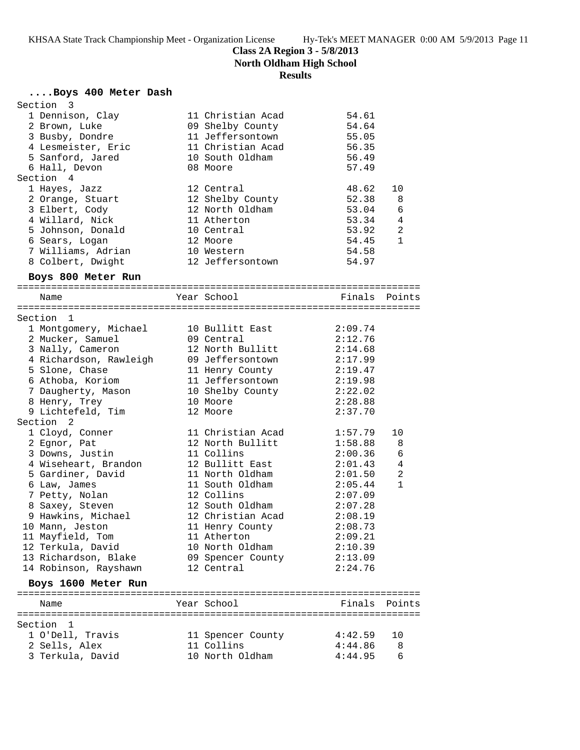**North Oldham High School**

# **Results**

# **....Boys 400 Meter Dash**

| Section 3              |                   |               |              |
|------------------------|-------------------|---------------|--------------|
| 1 Dennison, Clay       | 11 Christian Acad | 54.61         |              |
| 2 Brown, Luke          | 09 Shelby County  | 54.64         |              |
| 3 Busby, Dondre        | 11 Jeffersontown  | 55.05         |              |
| 4 Lesmeister, Eric     | 11 Christian Acad | 56.35         |              |
| 5 Sanford, Jared       | 10 South Oldham   | 56.49         |              |
| 6 Hall, Devon          | 08 Moore          | 57.49         |              |
| Section 4              |                   |               |              |
|                        |                   |               |              |
| 1 Hayes, Jazz          | 12 Central        | 48.62         | 10           |
| 2 Orange, Stuart       | 12 Shelby County  | 52.38         | 8            |
| 3 Elbert, Cody         | 12 North Oldham   | 53.04         | 6            |
| 4 Willard, Nick        | 11 Atherton       | 53.34         | 4            |
| 5 Johnson, Donald      | 10 Central        | 53.92         | 2            |
| 6 Sears, Logan         | 12 Moore          | 54.45         | $\mathbf{1}$ |
| 7 Williams, Adrian     | 10 Western        | 54.58         |              |
| 8 Colbert, Dwight      | 12 Jeffersontown  | 54.97         |              |
| Boys 800 Meter Run     |                   |               |              |
|                        |                   |               |              |
| Name                   | Year School       | Finals Points |              |
| Section 1              |                   |               |              |
| 1 Montgomery, Michael  | 10 Bullitt East   | 2:09.74       |              |
| 2 Mucker, Samuel       | 09 Central        | 2:12.76       |              |
| 3 Nally, Cameron       | 12 North Bullitt  | 2:14.68       |              |
| 4 Richardson, Rawleigh | 09 Jeffersontown  | 2:17.99       |              |
| 5 Slone, Chase         | 11 Henry County   | 2:19.47       |              |
|                        | 11 Jeffersontown  |               |              |
| 6 Athoba, Koriom       |                   | 2:19.98       |              |
| 7 Daugherty, Mason     | 10 Shelby County  | 2:22.02       |              |
| 8 Henry, Trey          | 10 Moore          | 2:28.88       |              |
| 9 Lichtefeld, Tim      | 12 Moore          | 2:37.70       |              |
| Section <sub>2</sub>   |                   |               |              |
| 1 Cloyd, Conner        | 11 Christian Acad | 1:57.79       | 10           |
| 2 Egnor, Pat           | 12 North Bullitt  | 1:58.88       | 8            |
| 3 Downs, Justin        | 11 Collins        | 2:00.36       | 6            |
| 4 Wiseheart, Brandon   | 12 Bullitt East   | 2:01.43       | 4            |
| 5 Gardiner, David      | 11 North Oldham   | 2:01.50       | 2            |
| 6 Law, James           | 11 South Oldham   | 2:05.44       | $\mathbf{1}$ |
| 7 Petty, Nolan         | 12 Collins        | 2:07.09       |              |
| 8 Saxey, Steven        | 12 South Oldham   | 2:07.28       |              |
| 9 Hawkins, Michael     | 12 Christian Acad | 2:08.19       |              |
| 10 Mann, Jeston        | 11 Henry County   | 2:08.73       |              |
| 11 Mayfield, Tom       | 11 Atherton       | 2:09.21       |              |
| 12 Terkula, David      | 10 North Oldham   | 2:10.39       |              |
| 13 Richardson, Blake   | 09 Spencer County | 2:13.09       |              |
| 14 Robinson, Rayshawn  | 12 Central        | 2:24.76       |              |
| Boys 1600 Meter Run    |                   |               |              |
|                        |                   |               |              |
| Name                   | Year School       | Finals        | Points       |
| Section 1              |                   |               |              |
| 1 O'Dell, Travis       | 11 Spencer County | 4:42.59       | 10           |
| 2 Sells, Alex          | 11 Collins        | 4:44.86       | 8            |
| 3 Terkula, David       | 10 North Oldham   | 4:44.95       | 6            |
|                        |                   |               |              |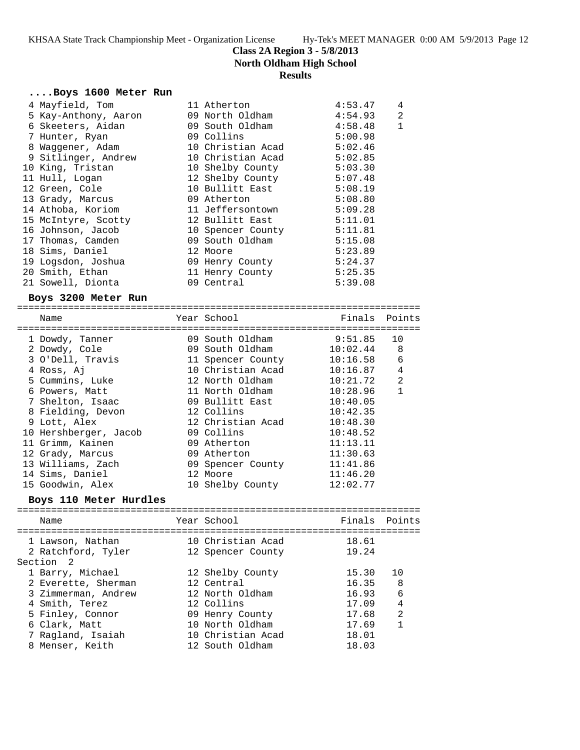**North Oldham High School**

### **Results**

### **....Boys 1600 Meter Run**

| 4 Mayfield, Tom      | 11 Atherton                                                                       | 4:53.47 | 4            |
|----------------------|-----------------------------------------------------------------------------------|---------|--------------|
| 5 Kay-Anthony, Aaron | 09 North Oldham                                                                   | 4:54.93 | 2            |
| 6 Skeeters, Aidan    | 09 South Oldham                                                                   | 4:58.48 | $\mathbf{1}$ |
| 7 Hunter, Ryan       | 09 Collins and the Collins of the Collins of the Collins of the Collins of the Co | 5:00.98 |              |
| 8 Waggener, Adam     | 10 Christian Acad                                                                 | 5:02.46 |              |
| 9 Sitlinger, Andrew  | 10 Christian Acad                                                                 | 5:02.85 |              |
| 10 King, Tristan     | 10 Shelby County                                                                  | 5:03.30 |              |
| 11 Hull, Logan       | 12 Shelby County                                                                  | 5:07.48 |              |
| 12 Green, Cole       | 10 Bullitt East                                                                   | 5:08.19 |              |
| 13 Grady, Marcus     | 09 Atherton                                                                       | 5:08.80 |              |
| 14 Athoba, Koriom    | 11 Jeffersontown                                                                  | 5:09.28 |              |
| 15 McIntyre, Scotty  | 12 Bullitt East                                                                   | 5:11.01 |              |
| 16 Johnson, Jacob    | 10 Spencer County                                                                 | 5:11.81 |              |
| 17 Thomas, Camden    | 09 South Oldham                                                                   | 5:15.08 |              |
| 18 Sims, Daniel      | 12 Moore                                                                          | 5:23.89 |              |
| 19 Logsdon, Joshua   | 09 Henry County                                                                   | 5:24.37 |              |
| 20 Smith, Ethan      | 11 Henry County                                                                   | 5:25.35 |              |
| 21 Sowell, Dionta    | 09 Central                                                                        | 5:39.08 |              |
| Boys 3200 Meter Run  |                                                                                   |         |              |

======================================================================= Name Year School ======================================================================= 1 Dowdy, Tanner 09 South Oldham 9:51.85 10 2 Dowdy, Cole 09 South Oldham 10:02.44 8 3 O'Dell, Travis 11 Spencer County 10:16.58 6 4 Ross, Aj 10 Christian Acad 10:16.87 4 5 Cummins, Luke 12 North Oldham 10:21.72 2 6 Powers, Matt 11 North Oldham 10:28.96 1 7 Shelton, Isaac 09 Bullitt East 10:40.05 8 Fielding, Devon 12 Collins 10:42.35 9 Lott, Alex 12 Christian Acad 10:48.30 10 Hershberger, Jacob 09 Collins 10:48.52 11 Grimm, Kainen 09 Atherton 11:13.11 12 Grady, Marcus 09 Atherton 11:30.63 13 Williams, Zach 09 Spencer County 11:41.86 14 Sims, Daniel 12 Moore 11:46.20 15 Goodwin, Alex 10 Shelby County 12:02.77

#### **Boys 110 Meter Hurdles**

======================================================================= Year School **Finals** Points ======================================================================= 1 Lawson, Nathan 10 Christian Acad 18.61 2 Ratchford, Tyler 12 Spencer County 19.24 Section 2 1 Barry, Michael 12 Shelby County 15.30 10 2 Everette, Sherman 12 Central 16.35 8 3 Zimmerman, Andrew 12 North Oldham 16.93 6 4 Smith, Terez 12 Collins 17.09 4 5 Finley, Connor 09 Henry County 17.68 2 6 Clark, Matt 10 North Oldham 17.69 1 7 Ragland, Isaiah 10 Christian Acad 18.01 8 Menser, Keith 12 South Oldham 18.03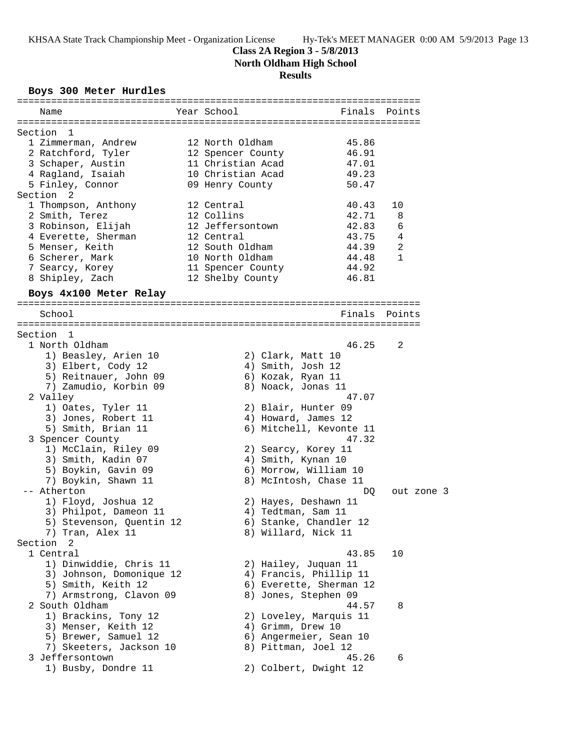### **Class 2A Region 3 - 5/8/2013**

**North Oldham High School**

# **Results**

# **Boys 300 Meter Hurdles**

| Name                             | Year School |                   | Finals                  | Points     |  |
|----------------------------------|-------------|-------------------|-------------------------|------------|--|
|                                  |             |                   |                         |            |  |
| Section<br>1                     |             |                   |                         |            |  |
| 1 Zimmerman, Andrew              |             | 12 North Oldham   | 45.86                   |            |  |
| 2 Ratchford, Tyler               |             | 12 Spencer County | 46.91                   |            |  |
| 3 Schaper, Austin                |             | 11 Christian Acad | 47.01                   |            |  |
| 4 Ragland, Isaiah                |             | 10 Christian Acad | 49.23                   |            |  |
| 5 Finley, Connor                 |             | 09 Henry County   | 50.47                   |            |  |
| Section<br>2                     |             |                   |                         |            |  |
| 1 Thompson, Anthony              | 12 Central  |                   | 40.43                   | 10         |  |
| 2 Smith, Terez                   | 12 Collins  |                   | 42.71                   | 8          |  |
| 3 Robinson, Elijah               |             | 12 Jeffersontown  | 42.83                   | 6          |  |
| 4 Everette, Sherman              | 12 Central  |                   | 43.75                   | 4          |  |
| 5 Menser, Keith                  |             | 12 South Oldham   | 44.39                   | 2          |  |
| 6 Scherer, Mark                  |             | 10 North Oldham   | 44.48                   | 1          |  |
| 7 Searcy, Korey                  |             | 11 Spencer County | 44.92                   |            |  |
| 8 Shipley, Zach                  |             | 12 Shelby County  | 46.81                   |            |  |
| Boys 4x100 Meter Relay           |             |                   |                         |            |  |
|                                  |             |                   |                         |            |  |
| School                           |             |                   | Finals                  | Points     |  |
|                                  |             |                   |                         |            |  |
| Section 1                        |             |                   |                         |            |  |
| 1 North Oldham                   |             |                   | 46.25                   | 2          |  |
| 1) Beasley, Arien 10             |             | 2) Clark, Matt 10 |                         |            |  |
| 3) Elbert, Cody 12               |             | 4) Smith, Josh 12 |                         |            |  |
| 5) Reitnauer, John 09            |             | 6) Kozak, Ryan 11 |                         |            |  |
| 7) Zamudio, Korbin 09            |             |                   | 8) Noack, Jonas 11      |            |  |
| 2 Valley                         |             |                   | 47.07                   |            |  |
| 1) Oates, Tyler 11               |             |                   | 2) Blair, Hunter 09     |            |  |
| 3) Jones, Robert 11              |             |                   | 4) Howard, James 12     |            |  |
| 5) Smith, Brian 11               |             |                   | 6) Mitchell, Kevonte 11 |            |  |
| 3 Spencer County                 |             |                   | 47.32                   |            |  |
| 1) McClain, Riley 09             |             |                   | 2) Searcy, Korey 11     |            |  |
| 3) Smith, Kadin 07               |             |                   | 4) Smith, Kynan 10      |            |  |
| 5) Boykin, Gavin 09              |             |                   | 6) Morrow, William 10   |            |  |
| 7) Boykin, Shawn 11              |             |                   | 8) McIntosh, Chase 11   |            |  |
| -- Atherton                      |             |                   | DQ                      | out zone 3 |  |
| 1) Floyd, Joshua 12              |             |                   | 2) Hayes, Deshawn 11    |            |  |
| 3) Philpot, Dameon 11            |             |                   | 4) Tedtman, Sam 11      |            |  |
|                                  |             |                   | 6) Stanke, Chandler 12  |            |  |
| 5) Stevenson, Quentin 12         |             |                   |                         |            |  |
| 7) Tran, Alex 11<br>Section<br>2 |             |                   | 8) Willard, Nick 11     |            |  |
| 1 Central                        |             |                   |                         |            |  |
|                                  |             |                   | 43.85                   | 10         |  |
| 1) Dinwiddie, Chris 11           |             |                   | 2) Hailey, Juquan 11    |            |  |
| 3) Johnson, Domonique 12         |             |                   | 4) Francis, Phillip 11  |            |  |
| 5) Smith, Keith 12               |             |                   | 6) Everette, Sherman 12 |            |  |
| 7) Armstrong, Clavon 09          |             |                   | 8) Jones, Stephen 09    |            |  |
| 2 South Oldham                   |             |                   | 44.57                   | 8          |  |
| 1) Brackins, Tony 12             |             |                   | 2) Loveley, Marquis 11  |            |  |
| 3) Menser, Keith 12              |             | 4) Grimm, Drew 10 |                         |            |  |
| 5) Brewer, Samuel 12             |             |                   | 6) Angermeier, Sean 10  |            |  |
| 7) Skeeters, Jackson 10          |             |                   | 8) Pittman, Joel 12     |            |  |
| 3 Jeffersontown                  |             |                   | 45.26                   | 6          |  |
| 1) Busby, Dondre 11              |             |                   | 2) Colbert, Dwight 12   |            |  |
|                                  |             |                   |                         |            |  |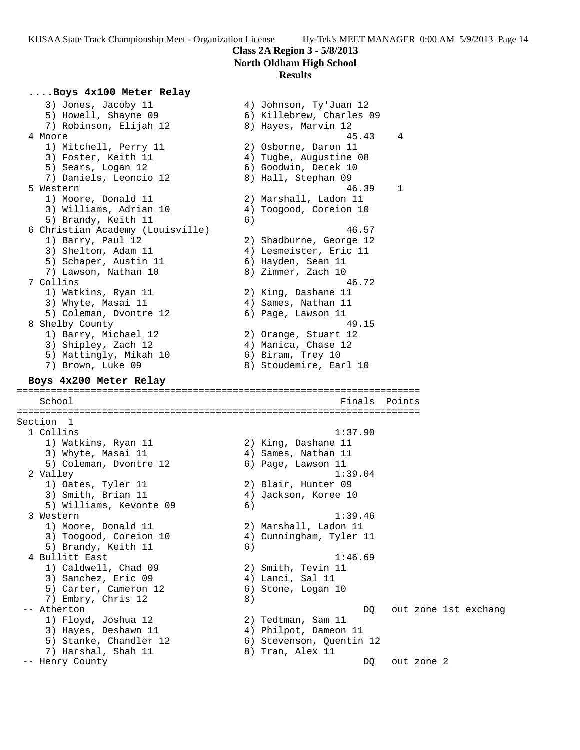### **Class 2A Region 3 - 5/8/2013 North Oldham High School**

### **Results**

### **....Boys 4x100 Meter Relay**

 3) Jones, Jacoby 11 4) Johnson, Ty'Juan 12 5) Howell, Shayne 09 6) Killebrew, Charles 09 7) Robinson, Elijah 12 8) Hayes, Marvin 12 4 Moore 45.43 4 1) Mitchell, Perry 11 2) Osborne, Daron 11 3) Foster, Keith 11  $\hskip10mm 4)$  Tugbe, Augustine 08 5) Sears, Logan 12 (6) Goodwin, Derek 10 7) Daniels, Leoncio 12 8) Hall, Stephan 09 5 Western 46.39 1 1) Moore, Donald 11 2) Marshall, Ladon 11 3) Williams, Adrian 10 4) Toogood, Coreion 10 5) Brandy, Keith 11 6) 6 Christian Academy (Louisville) 46.57 1) Barry, Paul 12 2) Shadburne, George 12 3) Shelton, Adam 11 4) Lesmeister, Eric 11 5) Schaper, Austin 11 (6) Hayden, Sean 11 7) Lawson, Nathan 10 8) Zimmer, Zach 10 7 Collins 46.72 1) Watkins, Ryan 11 2) King, Dashane 11 3) Whyte, Masai 11 (4) Sames, Nathan 11 5) Coleman, Dvontre 12 (6) Page, Lawson 11 8 Shelby County 49.15 1) Barry, Michael 12 2) Orange, Stuart 12 3) Shipley, Zach 12 4) Manica, Chase 12 5) Mattingly, Mikah 10 6) Biram, Trey 10 7) Brown, Luke 09 8) Stoudemire, Earl 10 **Boys 4x200 Meter Relay** ======================================================================= School **Finals Points** ======================================================================= Section 1 1 Collins 1:37.90 1) Watkins, Ryan 11 2) King, Dashane 11 3) Whyte, Masai 11  $\qquad \qquad \qquad$  4) Sames, Nathan 11 5) Coleman, Dvontre 12 (6) Page, Lawson 11 2 Valley 1:39.04 1) Oates, Tyler 11 2) Blair, Hunter 09 3) Smith, Brian 11 (4) Jackson, Koree 10 5) Williams, Kevonte 09 (6) 3 Western 1:39.46 1) Moore, Donald 11 2) Marshall, Ladon 11 3) Toogood, Coreion 10 4) Cunningham, Tyler 11 5) Brandy, Keith 11 6) 4 Bullitt East 1:46.69 1) Caldwell, Chad 09 2) Smith, Tevin 11 3) Sanchez, Eric 09 (4) Lanci, Sal 11 5) Carter, Cameron 12 (6) Stone, Logan 10 7) Embry, Chris 12 (8) -- Atherton DQ out zone 1st exchang 1) Floyd, Joshua 12 2) Tedtman, Sam 11 3) Hayes, Deshawn 11 4) Philpot, Dameon 11 5) Stanke, Chandler 12 (6) Stevenson, Quentin 12 7) Harshal, Shah 11  $\qquad \qquad 8)$  Tran, Alex 11 -- Henry County DQ out zone 2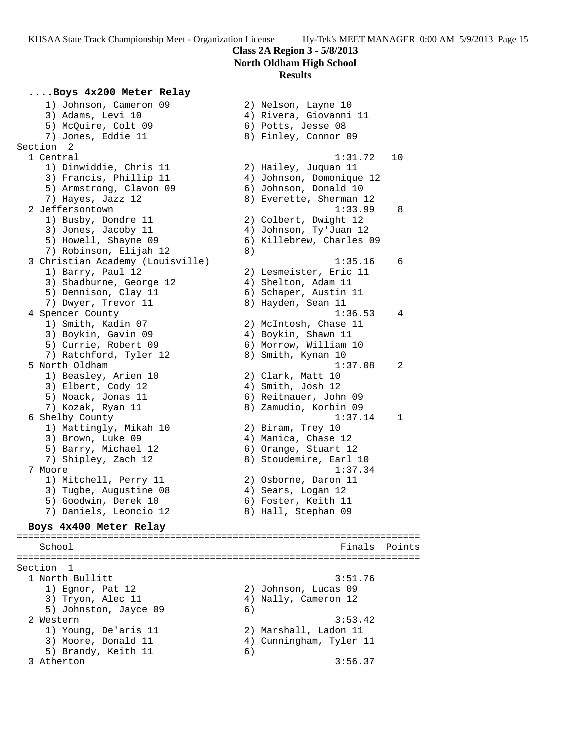# **Class 2A Region 3 - 5/8/2013 North Oldham High School**

### **Results**

# **....Boys 4x200 Meter Relay**

 1) Johnson, Cameron 09 2) Nelson, Layne 10 3) Adams, Levi 10 4) Rivera, Giovanni 11 5) McQuire, Colt 09 6) Potts, Jesse 08 7) Jones, Eddie 11 1888 (1898) 8 Finley, Connor 09 Section 2 1 Central 1:31.72 10 1) Dinwiddie, Chris 11 2) Hailey, Juquan 11 3) Francis, Phillip 11 4) Johnson, Domonique 12 5) Armstrong, Clavon 09 6) Johnson, Donald 10 7) Hayes, Jazz 12 8) Everette, Sherman 12 2 Jeffersontown 1:33.99 8 1) Busby, Dondre 11 2) Colbert, Dwight 12 3) Jones, Jacoby 11 4) Johnson, Ty'Juan 12 5) Howell, Shayne 09 6) Killebrew, Charles 09 7) Robinson, Elijah 12 (8) 3 Christian Academy (Louisville) 1:35.16 6 1) Barry, Paul 12 2) Lesmeister, Eric 11 3) Shadburne, George 12 4) Shelton, Adam 11 5) Dennison, Clay 11 6) Schaper, Austin 11 7) Dwyer, Trevor 11 and 8) Hayden, Sean 11 4 Spencer County 1:36.53 4 1) Smith, Kadin 07 2) McIntosh, Chase 11 3) Boykin, Gavin 09 4) Boykin, Shawn 11 5) Currie, Robert 09 6) Morrow, William 10 7) Ratchford, Tyler 12 and 8) Smith, Kynan 10 5 North Oldham 1:37.08 2 1) Beasley, Arien 10 2) Clark, Matt 10 3) Elbert, Cody 12 (4) Smith, Josh 12 5) Noack, Jonas 11 6) Reitnauer, John 09 7) Kozak, Ryan 11 8) Zamudio, Korbin 09 6 Shelby County 1:37.14 1 1) Mattingly, Mikah 10 2) Biram, Trey 10 3) Brown, Luke 09 (4) Manica, Chase 12 5) Barry, Michael 12 (6) Orange, Stuart 12 7) Shipley, Zach 12 8) Stoudemire, Earl 10 7 Moore 1:37.34 1) Mitchell, Perry 11 (2) Osborne, Daron 11 3) Tugbe, Augustine 08 (4) Sears, Logan 12 5) Goodwin, Derek 10 (6) Foster, Keith 11 7) Daniels, Leoncio 12 8) Hall, Stephan 09 **Boys 4x400 Meter Relay** ======================================================================= School Finals Points ======================================================================= Section 1 1 North Bullitt 3:51.76 1) Egnor, Pat 12 2) Johnson, Lucas 09 3) Tryon, Alec 11 4) Nally, Cameron 12 5) Johnston, Jayce 09 6) 2 Western 3:53.42 1) Young, De'aris 11 2) Marshall, Ladon 11 3) Moore, Donald 11 4) Cunningham, Tyler 11 5) Brandy, Keith 11 6)

3 Atherton 3:56.37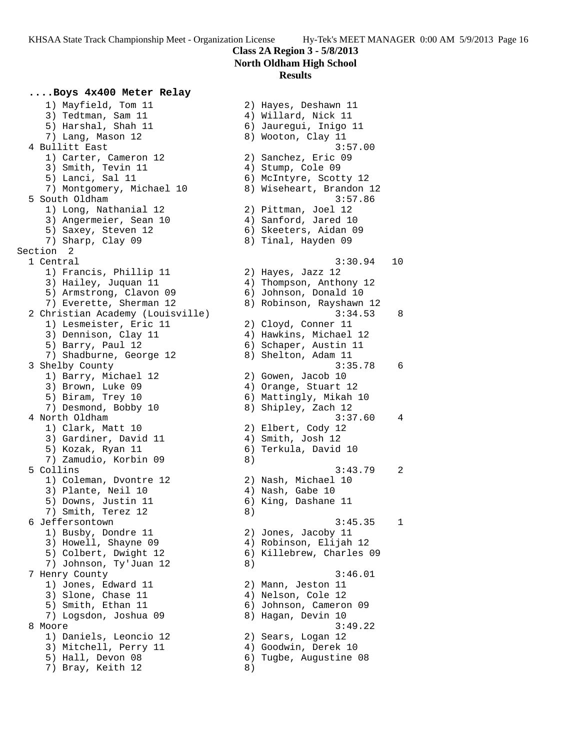1) Mayfield, Tom 11 2) Hayes, Deshawn 11

# **Class 2A Region 3 - 5/8/2013 North Oldham High School**

### **Results**

### **....Boys 4x400 Meter Relay**

3) Tedtman, Sam 11 (4) 4) Willard, Nick 11 5) Harshal, Shah 11 6) Jauregui, Inigo 11 7) Lang, Mason 12 8) Wooton, Clay 11 4 Bullitt East 3:57.00 1) Carter, Cameron 12 2) Sanchez, Eric 09 3) Smith, Tevin 11 (4) Stump, Cole 09 5) Lanci, Sal 11 6) McIntyre, Scotty 12 7) Montgomery, Michael 10 8) Wiseheart, Brandon 12 5 South Oldham 3:57.86 1) Long, Nathanial 12 2) Pittman, Joel 12 3) Angermeier, Sean 10  $\hskip1cm$  4) Sanford, Jared 10 5) Saxey, Steven 12 6) Skeeters, Aidan 09 7) Sharp, Clay 09 8) Tinal, Hayden 09 Section 2 1 Central 3:30.94 10 1) Francis, Phillip 11 2) Hayes, Jazz 12 3) Hailey, Juquan 11 4) Thompson, Anthony 12 5) Armstrong, Clavon 09 6) Johnson, Donald 10 7) Everette, Sherman 12 8) Robinson, Rayshawn 12 2 Christian Academy (Louisville) 3:34.53 8 1) Lesmeister, Eric 11 and 2) Cloyd, Conner 11 3) Dennison, Clay 11  $\hskip10mm$  4) Hawkins, Michael 12 5) Barry, Paul 12 6) Schaper, Austin 11 7) Shadburne, George 12 and 8) Shelton, Adam 11 3 Shelby County 3:35.78 6 1) Barry, Michael 12 2) Gowen, Jacob 10 3) Brown, Luke 09 (4) Orange, Stuart 12 5) Biram, Trey 10 6) Mattingly, Mikah 10 7) Desmond, Bobby 10 8) Shipley, Zach 12 4 North Oldham 3:37.60 4 1) Clark, Matt 10 2) Elbert, Cody 12 3) Gardiner, David 11 (4) Amith, Josh 12 5) Kozak, Ryan 11 6) Terkula, David 10 7) Zamudio, Korbin 09  $\qquad \qquad 8)$  5 Collins 3:43.79 2 1) Coleman, Dvontre 12 2) Nash, Michael 10 3) Plante, Neil 10 (4) Nash, Gabe 10 5) Downs, Justin 11 6) King, Dashane 11 7) Smith, Terez 12 (8) 6 Jeffersontown 3:45.35 1 1) Busby, Dondre 11 2) Jones, Jacoby 11 3) Howell, Shayne 09 4) Robinson, Elijah 12 5) Colbert, Dwight 12 6) Killebrew, Charles 09 7) Johnson, Ty'Juan 12 (8) 7 Henry County 3:46.01 1) Jones, Edward 11 2) Mann, Jeston 11 3) Slone, Chase 11 4) Nelson, Cole 12 5) Smith, Ethan 11 6) Johnson, Cameron 09 7) Logsdon, Joshua 09 8) Hagan, Devin 10 8 Moore 3:49.22 1) Daniels, Leoncio 12 2) Sears, Logan 12 3) Mitchell, Perry 11 (4) Goodwin, Derek 10 5) Hall, Devon 08 6) Tugbe, Augustine 08 7) Bray, Keith 12 (8)